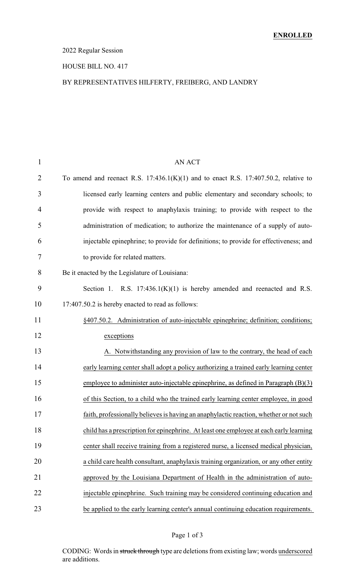### 2022 Regular Session

#### HOUSE BILL NO. 417

### BY REPRESENTATIVES HILFERTY, FREIBERG, AND LANDRY

| 1              | <b>AN ACT</b>                                                                            |
|----------------|------------------------------------------------------------------------------------------|
| $\overline{2}$ | To amend and reenact R.S. $17:436.1(K)(1)$ and to enact R.S. $17:407.50.2$ , relative to |
| 3              | licensed early learning centers and public elementary and secondary schools; to          |
| $\overline{4}$ | provide with respect to anaphylaxis training; to provide with respect to the             |
| 5              | administration of medication; to authorize the maintenance of a supply of auto-          |
| 6              | injectable epinephrine; to provide for definitions; to provide for effectiveness; and    |
| 7              | to provide for related matters.                                                          |
| 8              | Be it enacted by the Legislature of Louisiana:                                           |
| 9              | Section 1. R.S. $17:436.1(K)(1)$ is hereby amended and reenacted and R.S.                |
| 10             | 17:407.50.2 is hereby enacted to read as follows:                                        |
| 11             | §407.50.2. Administration of auto-injectable epinephrine; definition; conditions;        |
| 12             | exceptions                                                                               |
| 13             | A. Notwithstanding any provision of law to the contrary, the head of each                |
| 14             | early learning center shall adopt a policy authorizing a trained early learning center   |
| 15             | employee to administer auto-injectable epinephrine, as defined in Paragraph $(B)(3)$     |
| 16             | of this Section, to a child who the trained early learning center employee, in good      |
| 17             | faith, professionally believes is having an anaphylactic reaction, whether or not such   |
| 18             | child has a prescription for epinephrine. At least one employee at each early learning   |
| 19             | center shall receive training from a registered nurse, a licensed medical physician,     |
| 20             | a child care health consultant, anaphylaxis training organization, or any other entity   |
| 21             | approved by the Louisiana Department of Health in the administration of auto-            |
| 22             | injectable epinephrine. Such training may be considered continuing education and         |
| 23             | be applied to the early learning center's annual continuing education requirements.      |

CODING: Words in struck through type are deletions from existing law; words underscored are additions.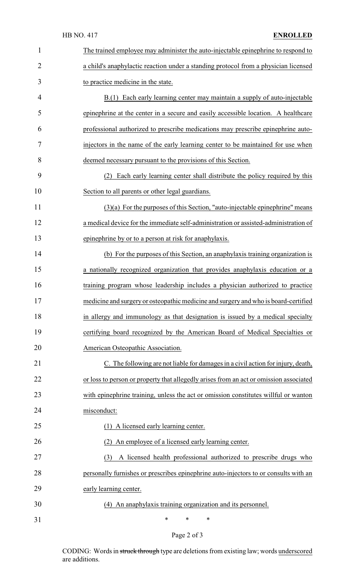| $\mathbf{1}$   | The trained employee may administer the auto-injectable epinephrine to respond to      |
|----------------|----------------------------------------------------------------------------------------|
| $\overline{2}$ | a child's anaphylactic reaction under a standing protocol from a physician licensed    |
| 3              | to practice medicine in the state.                                                     |
| 4              | B.(1) Each early learning center may maintain a supply of auto-injectable              |
| 5              | epinephrine at the center in a secure and easily accessible location. A healthcare     |
| 6              | professional authorized to prescribe medications may prescribe epinephrine auto-       |
| 7              | injectors in the name of the early learning center to be maintained for use when       |
| 8              | deemed necessary pursuant to the provisions of this Section.                           |
| 9              | Each early learning center shall distribute the policy required by this<br>(2)         |
| 10             | Section to all parents or other legal guardians.                                       |
| 11             | $(3)(a)$ For the purposes of this Section, "auto-injectable epinephrine" means         |
| 12             | a medical device for the immediate self-administration or assisted-administration of   |
| 13             | epinephrine by or to a person at risk for anaphylaxis.                                 |
| 14             | (b) For the purposes of this Section, an anaphylaxis training organization is          |
| 15             | a nationally recognized organization that provides anaphylaxis education or a          |
| 16             | training program whose leadership includes a physician authorized to practice          |
| 17             | medicine and surgery or osteopathic medicine and surgery and who is board-certified    |
| 18             | in allergy and immunology as that designation is issued by a medical specialty         |
| 19             | certifying board recognized by the American Board of Medical Specialties or            |
| 20             | American Osteopathic Association.                                                      |
| 21             | C. The following are not liable for damages in a civil action for injury, death,       |
| 22             | or loss to person or property that allegedly arises from an act or omission associated |
| 23             | with epinephrine training, unless the act or omission constitutes willful or wanton    |
| 24             | misconduct:                                                                            |
| 25             | (1) A licensed early learning center.                                                  |
| 26             | An employee of a licensed early learning center.<br>(2)                                |
| 27             | A licensed health professional authorized to prescribe drugs who<br>(3)                |
| 28             | personally furnishes or prescribes epinephrine auto-injectors to or consults with an   |
| 29             | early learning center.                                                                 |
| 30             | (4) An anaphylaxis training organization and its personnel.                            |
| 31             | ∗<br>$\ast$<br>$\ast$                                                                  |

Page 2 of 3

CODING: Words in struck through type are deletions from existing law; words underscored are additions.